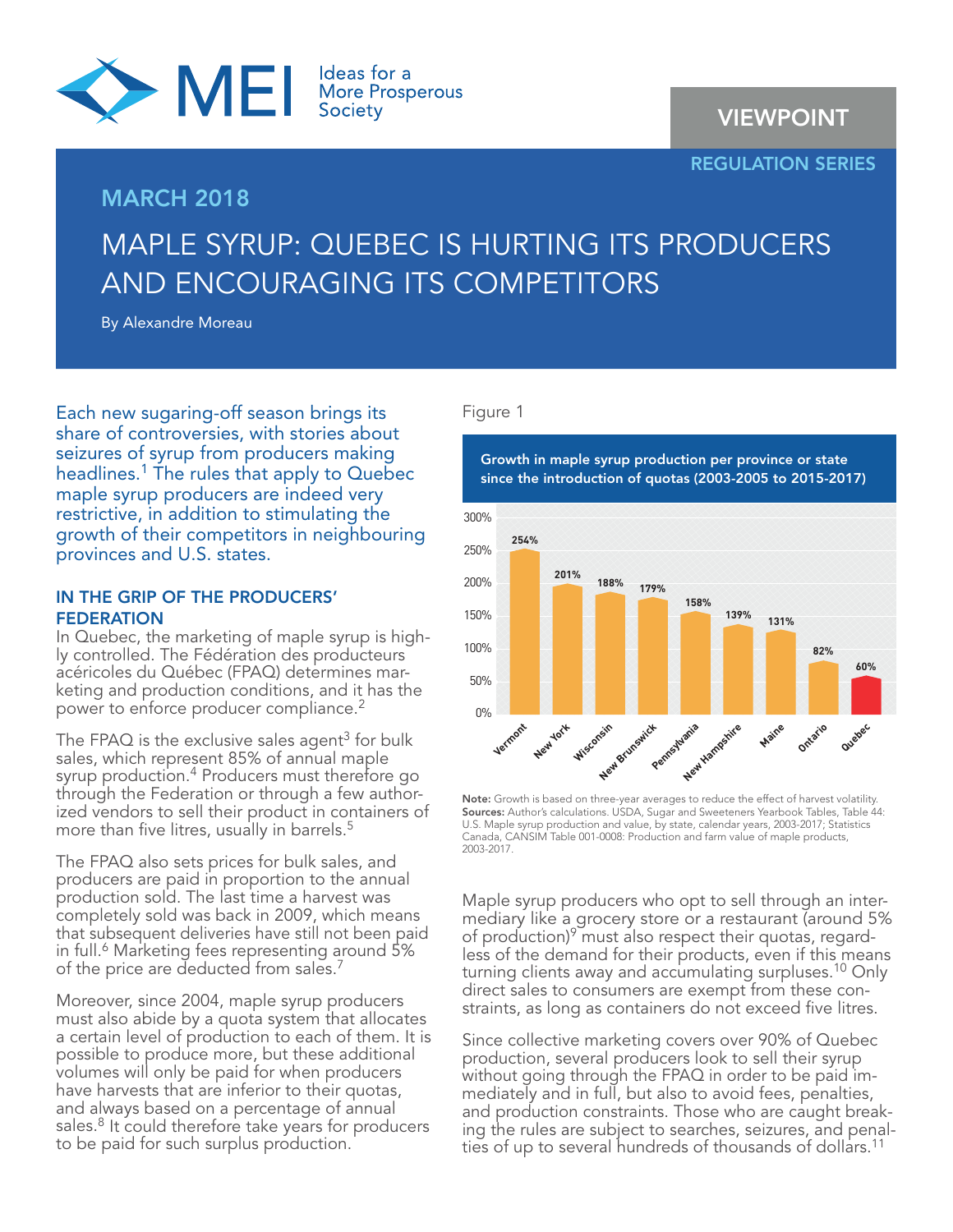

## MARCH 2018

# VIEWPOINT

#### REGULATION SERIES

# MAPLE SYRUP: QUEBEC IS HURTING ITS PRODUCERS AND ENCOURAGING ITS COMPETITORS

By Alexandre Moreau

Each new sugaring-off season brings its share of controversies, with stories about seizures of syrup from producers making headlines.<sup>1</sup> The rules that apply to Quebec maple syrup producers are indeed very restrictive, in addition to stimulating the growth of their competitors in neighbouring provinces and U.S. states.

#### IN THE GRIP OF THE PRODUCERS' **FEDERATION**

In Quebec, the marketing of maple syrup is highly controlled. The Fédération des producteurs acéricoles du Québec (FPAQ) determines marketing and production conditions, and it has the power to enforce producer compliance.<sup>2</sup>

The FPAQ is the exclusive sales agent<sup>3</sup> for bulk sales, which represent 85% of annual maple syrup production.4 Producers must therefore go through the Federation or through a few authorized vendors to sell their product in containers of more than five litres, usually in barrels.<sup>5</sup>

The FPAQ also sets prices for bulk sales, and producers are paid in proportion to the annual production sold. The last time a harvest was completely sold was back in 2009, which means that subsequent deliveries have still not been paid in full.6 Marketing fees representing around 5% of the price are deducted from sales.<sup>7</sup>

Moreover, since 2004, maple syrup producers must also abide by a quota system that allocates a certain level of production to each of them. It is possible to produce more, but these additional volumes will only be paid for when producers have harvests that are inferior to their quotas, and always based on a percentage of annual sales.<sup>8</sup> It could therefore take years for producers to be paid for such surplus production.

#### Figure 1



Note: Growth is based on three-year averages to reduce the effect of harvest volatility. Sources: Author's calculations. USDA, Sugar and Sweeteners Yearbook Tables, Table 44: U.S. Maple syrup production and value, by state, calendar years, 2003-2017; Statistics Canada, CANSIM Table 001-0008: Production and farm value of maple products, 2003-2017.

Maple syrup producers who opt to sell through an intermediary like a grocery store or a restaurant (around 5% of production)<sup>9</sup> must also respect their quotas, regardless of the demand for their products, even if this means turning clients away and accumulating surpluses.<sup>10</sup> Only direct sales to consumers are exempt from these constraints, as long as containers do not exceed five litres.

Since collective marketing covers over 90% of Quebec production, several producers look to sell their syrup without going through the FPAQ in order to be paid immediately and in full, but also to avoid fees, penalties, and production constraints. Those who are caught breaking the rules are subject to searches, seizures, and penalties of up to several hundreds of thousands of dollars.<sup>11</sup>